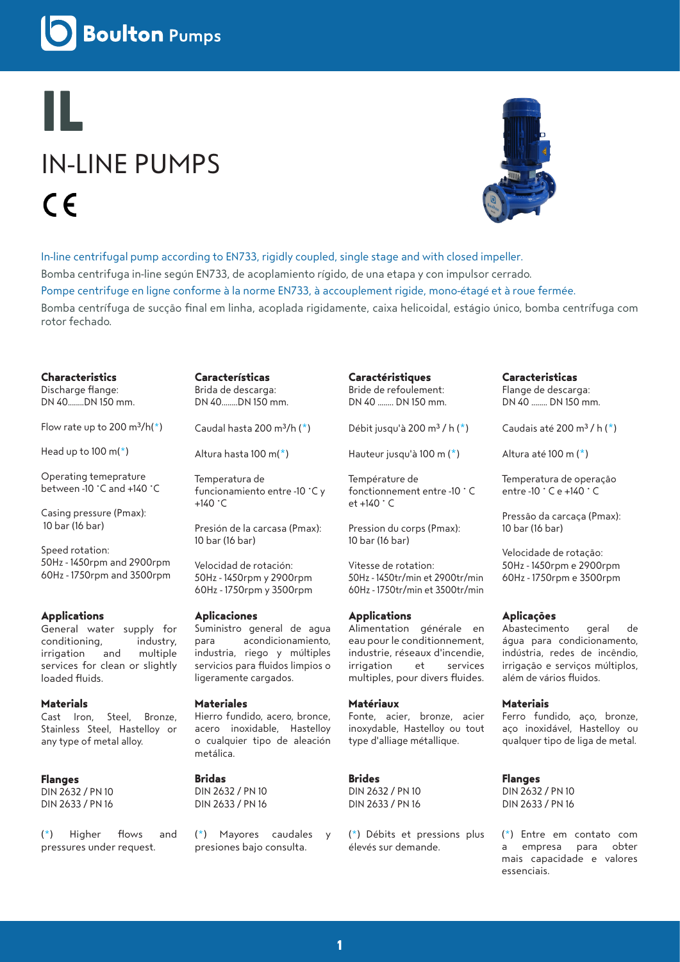**Boulton Pumps** 

# **IL** IN-LINE PUMPS  $\epsilon$



In-line centrifugal pump according to EN733, rigidly coupled, single stage and with closed impeller. Bomba centrifuga in-line según EN733, de acoplamiento rígido, de una etapa y con impulsor cerrado. Pompe centrifuge en ligne conforme à la norme EN733, à accouplement rigide, mono-étagé et à roue fermée. Bomba centrífuga de sucção final em linha, acoplada rigidamente, caixa helicoidal, estágio único, bomba centrífuga com rotor fechado.

### **Characteristics**

Discharge flange: DN 40........DN 150 mm.

Flow rate up to 200  $m^3/h(*)$ 

Head up to  $100 \text{ m}$ <sup>\*</sup>)

Operating temeprature between -10 °C and +140 °C

Casing pressure (Pmax): 10 bar (16 bar)

Speed rotation: 50Hz - 1450rpm and 2900rpm 60Hz - 1750rpm and 3500rpm

# **Applications**

General water supply for conditioning, industry, irrigation and multiple services for clean or slightly loaded fluids.

## **Materials**

Cast Iron, Steel, Bronze, Stainless Steel, Hastelloy or any type of metal alloy.

# **Flanges**

DIN 2632 / PN 10 DIN 2633 / PN 16

(\*) Higher flows and pressures under request.

**Características**  Brida de descarga: DN 40........DN 150 mm.

Caudal hasta 200 m $3/h$  ( $*$ )

Altura hasta 100 m(\*)

Temperatura de funcionamiento entre -10 °C y  $+140$   $°C$ 

Presión de la carcasa (Pmax): 10 bar (16 bar)

Velocidad de rotación: 50Hz - 1450rpm y 2900rpm 60Hz - 1750rpm y 3500rpm

### **Aplicaciones**

Suministro general de agua para acondicionamiento, industria, riego y múltiples servicios para fluidos limpios o ligeramente cargados.

### **Materiales**

Hierro fundido, acero, bronce, acero inoxidable, Hastelloy o cualquier tipo de aleación metálica.

# **Bridas**

DIN 2632 / PN 10 DIN 2633 / PN 16

(\*) Mayores caudales y presiones bajo consulta.

**Caractéristiques**  Bride de refoulement: DN 40 ........ DN 150 mm.

Débit jusqu'à 200 m<sup>3</sup> / h  $(*)$ 

Hauteur jusqu'à 100 m (\*)

Température de fonctionnement entre -10 ° C et +140 ° C

Pression du corps (Pmax): 10 bar (16 bar)

Vitesse de rotation: 50Hz - 1450tr/min et 2900tr/min 60Hz - 1750tr/min et 3500tr/min

### **Applications**

Alimentation générale en eau pour le conditionnement, industrie, réseaux d'incendie, irrigation et services multiples, pour divers fluides.

## **Matériaux**

Fonte, acier, bronze, acier inoxydable, Hastelloy ou tout type d'alliage métallique.

# **Brides**

DIN 2632 / PN 10 DIN 2633 / PN 16

(\*) Débits et pressions plus élevés sur demande.

**Caracteristicas**  Flange de descarga: DN 40 ........ DN 150 mm.

Caudais até 200 m<sup>3</sup> / h  $(*)$ 

Altura até 100 m (\*)

Temperatura de operação entre -10 ° C e +140 ° C

Pressão da carcaça (Pmax): 10 bar (16 bar)

Velocidade de rotação: 50Hz - 1450rpm e 2900rpm 60Hz - 1750rpm e 3500rpm

# **Aplicações**

Abastecimento geral de água para condicionamento, indústria, redes de incêndio, irrigação e serviços múltiplos, além de vários fluidos.

### **Materiais**

Ferro fundido, aço, bronze, aço inoxidável, Hastelloy ou qualquer tipo de liga de metal.

# **Flanges**

DIN 2632 / PN 10 DIN 2633 / PN 16

(\*) Entre em contato com a empresa para obter mais capacidade e valores essenciais.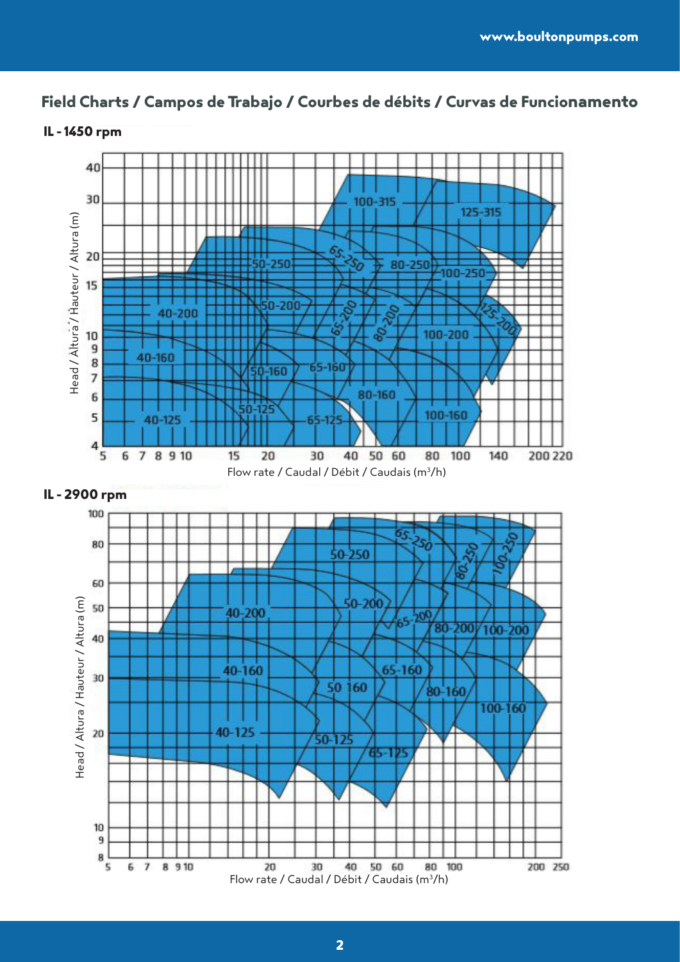# **Field Charts / Campos de Trabajo / Courbes de débits / Curvas de Funcionamento**



# **IL - 1450 rpm**



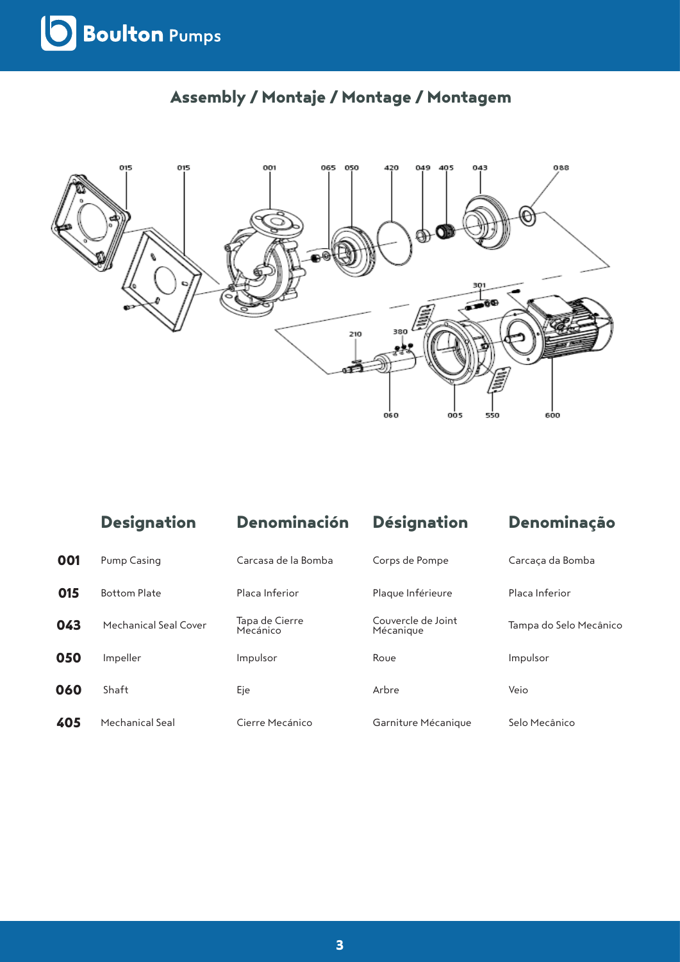

# **Assembly / Montaje / Montage / Montagem**

| 001 | Pump Casing           | Carcasa de la Bomba        | Corps de Pompe                  | Carcaça da Bomba       |
|-----|-----------------------|----------------------------|---------------------------------|------------------------|
| 015 | <b>Bottom Plate</b>   | Placa Inferior             | Plaque Inférieure               | Placa Inferior         |
| 043 | Mechanical Seal Cover | Tapa de Cierre<br>Mecánico | Couvercle de Joint<br>Mécanique | Tampa do Selo Mecânico |
| 050 | Impeller              | Impulsor                   | Roue                            | Impulsor               |
| 060 | Shaft                 | Eje                        | Arbre                           | Veio                   |
| 405 | Mechanical Seal       | Cierre Mecánico            | Garniture Mécanique             | Selo Mecânico          |

**Designation Denominación Désignation Denominação**

 $060$ 

oos

550

600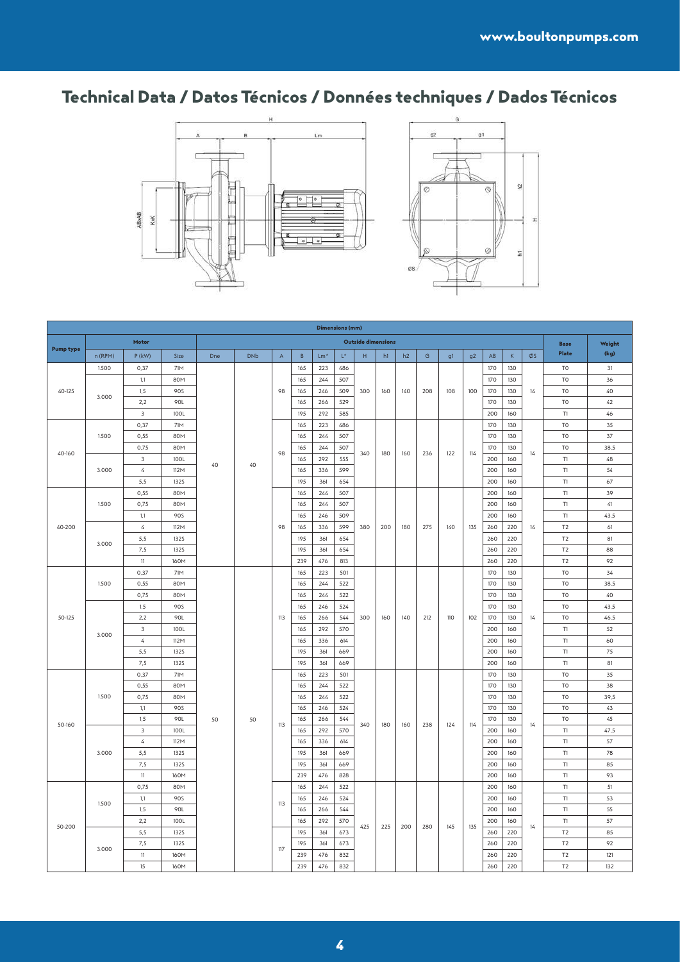# **Technical Data / Datos Técnicos / Données techniques / Dados Técnicos**





|                  |         |                |                     |     |            |              |            | Dimensions (mm)       |                    |                    |     |     |               |     |                |                        |            |    |                |             |
|------------------|---------|----------------|---------------------|-----|------------|--------------|------------|-----------------------|--------------------|--------------------|-----|-----|---------------|-----|----------------|------------------------|------------|----|----------------|-------------|
|                  |         | Motor          |                     |     |            |              |            |                       |                    | Outside dimensions |     |     |               |     |                |                        |            |    | <b>Base</b>    | Weight      |
| <b>Pump type</b> | n (RPM) | $P$ (kW)       | Size                | Dne | <b>DNb</b> | $\mathsf{A}$ | $\,$ B     | $\mathsf{Lm}^{\star}$ | $\mathsf{L}^\star$ | H                  | h1  | h2  | ${\mathsf G}$ | g1  | g <sub>2</sub> | $\mathsf{A}\mathsf{B}$ | $\,$ K     | ØS | Plate          | (kg)        |
|                  | 1.500   | 0,37           | 71M                 |     |            |              | 165        | 223                   | 486                |                    |     |     |               | 108 | 100            | 170                    | 130        | 14 | T <sub>0</sub> | 31          |
|                  |         | 1,1            | 80M                 |     |            |              | 165        | 244                   | 507                |                    |     |     |               |     |                | 170                    | 130        |    | T <sub>0</sub> | 36          |
| 40-125           | 3.000   | 1,5            | <b>90S</b>          |     |            | 98           | 165        | 246                   | 509                | 300                | 160 | 140 | 208           |     |                | 170                    | 130        |    | T <sub>0</sub> | 40          |
|                  |         | 2,2            | 90L                 |     |            |              | 165        | 266                   | 529                |                    |     |     |               |     |                | 170                    | 130        |    | T <sub>0</sub> | 42          |
|                  |         | $\mathbf{3}$   | <b>100L</b>         |     |            |              | 195        | 292                   | 585                |                    |     |     |               |     |                | 200                    | 160        |    | T1             | 46          |
|                  |         | 0,37           | 71M                 |     |            |              | 165        | 223                   | 486                |                    |     |     |               |     |                | 170                    | 130        |    | T <sub>0</sub> | 35          |
|                  | 1.500   | 0,55           | 80M                 |     |            |              | 165        | 244                   | 507                |                    |     |     |               |     |                | 170                    | 130        |    | T <sub>0</sub> | 37          |
| 40-160           |         | 0,75           | 80M                 |     |            | 98           | 165        | 244                   | 507                | 340                | 180 | 160 | 236           | 122 | 114            | 170                    | 130        | 14 | T <sub>0</sub> | 38.5        |
|                  |         | $\overline{3}$ | 100L                | 40  | 40         |              | 165        | 292                   | 555                |                    |     |     |               |     |                | 200                    | 160        |    | T1             | 48          |
|                  | 3.000   | $\overline{4}$ | 112M                |     |            |              | 165        | 336                   | 599                |                    |     |     |               |     |                | 200                    | 160        |    | T1             | 54          |
|                  |         | 5,5            | 1325                |     |            |              | 195        | 361                   | 654                |                    |     |     |               |     |                | 200                    | 160        |    | $\mathsf{T}1$  | 67          |
|                  |         | 0,55           | 80M                 |     |            |              | 165        | 244                   | 507                |                    |     |     |               |     |                | 200                    | 160        |    | $\mathsf{T}1$  | 39          |
|                  | 1.500   | 0,75           | 80M                 |     |            |              | 165        | 244                   | 507                |                    |     |     | 275           | 140 |                | 200                    | 160        |    | $\mathsf{T}1$  | $\sqrt{41}$ |
|                  |         | 1,1            | 90S                 |     |            |              | 165        | 246                   | 509                |                    |     |     |               |     |                | 200                    | 160        |    | $\mathsf{T}1$  | 43,5        |
| 40-200           |         | $\sqrt{4}$     | 112M                |     |            | 98           | 165        | 336                   | 599                | 380                | 200 | 180 |               |     | 135            | 260                    | 220        | 14 | T2             | 61          |
|                  | 3.000   | 5,5            | <b>132S</b>         |     |            |              | 195        | 361                   | 654                |                    |     |     |               |     |                | 260                    | 220        |    | T <sub>2</sub> | 81          |
|                  |         | 7,5<br>11      | <b>1325</b><br>160M |     |            |              | 195<br>239 | 361<br>476            | 654<br>813         |                    |     |     |               |     |                | 260<br>260             | 220<br>220 |    | T2<br>T2       | 88<br>92    |
|                  |         | 0,37           | 71M                 |     |            |              | 165        | 223                   | 501                |                    |     |     |               |     |                | 170                    | 130        |    | T <sub>0</sub> | 34          |
|                  | 1.500   | 0,55           | 80M                 |     |            |              | 165        | 244                   | 522                | 300                |     |     |               |     |                | 170                    | 130        |    | T <sub>0</sub> | 38,5        |
|                  |         | 0,75           | 80M                 |     |            |              | 165        | 244                   | 522                |                    |     |     |               |     |                | 170                    | 130        |    | T <sub>0</sub> | 40          |
|                  |         | 1,5            | <b>90S</b>          |     |            | 113          | 165        | 246                   | 524                |                    |     |     |               |     |                | 170                    | 130        |    | T <sub>0</sub> | 43,5        |
| 50-125           |         | 2,2            | 90L                 |     |            |              | 165        | 266                   | 544                |                    | 160 | 140 | 212           | 110 | 102            | 170                    | 130        | 14 | T <sub>0</sub> | 46,5        |
|                  | 3.000   | $\mathsf 3$    | <b>100L</b>         |     |            |              | 165        | 292                   | 570                |                    |     |     |               |     |                | 200                    | 160        |    | $\mathsf{T}1$  | 52          |
|                  |         | $\sqrt{4}$     | 112M                |     |            |              | 165        | 336                   | 614                |                    |     |     |               |     |                | 200                    | 160        |    | $\mathsf{T}1$  | 60          |
|                  |         | 5,5            | <b>1325</b>         |     |            |              | 195        | 361                   | 669                |                    |     |     |               |     |                | 200                    | 160        |    | T1             | 75          |
|                  |         | 7,5            | 1325                |     |            |              | 195        | 361                   | 669                |                    |     |     |               |     |                | 200                    | 160        |    | T1             | 81          |
|                  |         | 0,37           | <b>71M</b>          |     |            |              | 165        | 223                   | 501                |                    |     |     |               |     |                | 170                    | 130        |    | T <sub>0</sub> | 35          |
|                  |         | 0,55           | 80M                 |     | 50         |              | 165        | 244                   | 522                |                    |     |     |               |     |                | 170                    | 130        |    | T <sub>0</sub> | 38          |
|                  | 1.500   | 0,75           | 80M                 |     |            |              | 165        | 244                   | 522                |                    |     |     |               |     |                | 170                    | 130        |    | T <sub>0</sub> | 39,5        |
|                  |         | 1,1            | <b>90S</b>          |     |            |              | 165        | 246                   | 524                |                    |     |     |               |     |                | 170                    | 130        |    | T <sub>0</sub> | 43          |
| 50-160           |         | 1,5            | 90L                 | 50  |            | 113          | 165        | 266                   | 544                | 340                | 180 | 160 | 238           | 124 | 114            | 170                    | 130        | 14 | T <sub>0</sub> | 45          |
|                  |         | $\mathbf{3}$   | 100L                |     |            |              | 165        | 292                   | 570                |                    |     |     |               |     |                | 200                    | 160        |    | T1             | 47,5        |
|                  |         | $\sqrt{4}$     | 112M                |     |            |              | 165        | 336                   | 614                |                    |     |     |               |     |                | 200                    | 160        |    | T1             | 57          |
|                  | 3.000   | 5,5            | <b>1325</b>         |     |            |              | 195        | 361                   | 669                |                    |     |     |               |     |                | 200                    | 160        |    | $\mathsf{T}1$  | 78          |
|                  |         | 7,5            | <b>1325</b>         |     |            |              | 195        | 361                   | 669                |                    |     |     |               |     |                | 200                    | 160        |    | T1             | 85          |
|                  |         | 11             | 160M                |     |            |              | 239        | 476                   | 828                |                    |     |     |               |     |                | 200                    | 160        |    | T1             | 93          |
|                  |         | 0,75           | 80M                 |     |            |              | 165        | 244                   | 522                |                    |     |     |               |     |                | 200                    | 160        |    | T1             | 51          |
|                  | 1.500   | 1,1            | <b>90S</b>          |     |            | 113          | 165        | 246                   | 524                |                    |     |     |               |     |                | 200                    | 160        |    | T1             | 53          |
|                  |         | 1,5            | 90L                 |     |            |              | 165        | 266                   | 544                |                    |     |     |               |     |                | 200                    | 160        | 14 | T1             | 55          |
| 50-200           |         | 2,2<br>5,5     | 100L<br>1325        |     |            |              | 165<br>195 | 292<br>361            | 570<br>673         | 425                | 225 | 200 | 280           | 145 | 135            | 200<br>260             | 160<br>220 |    | T1<br>T2       | 57<br>85    |
|                  |         | 7,5            | <b>1325</b>         |     |            |              | 195        |                       |                    |                    |     |     |               |     |                |                        |            |    | $\mathsf{T2}$  | 92          |
|                  | 3,000   | $11\,$         | 160M                |     |            | 117          | 239        | 361<br>476            | 673<br>832         |                    |     |     |               |     |                | 260<br>260             | 220<br>220 |    | $\mathsf{T2}$  | 121         |
|                  |         | 15             | 160M                |     |            |              | 239        | 476                   | 832                |                    |     |     |               |     |                | 260                    | 220        |    | T <sub>2</sub> | 132         |
|                  |         |                |                     |     |            |              |            |                       |                    |                    |     |     |               |     |                |                        |            |    |                |             |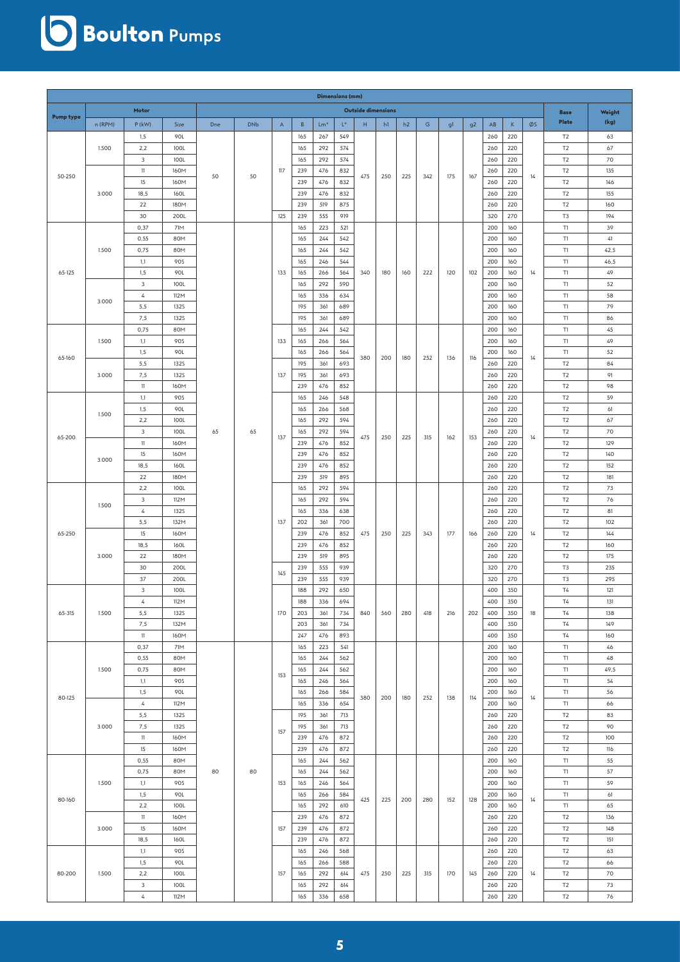# **Soulton** Pumps

|                  | <b>Dimensions (mm)</b><br>Outside dimensions |                         |              |     |            |             |            |            |            |     |     |     |     |     |                |            |             |    |                                                                                                                                                                                                                                                                                                                                                                                              |           |
|------------------|----------------------------------------------|-------------------------|--------------|-----|------------|-------------|------------|------------|------------|-----|-----|-----|-----|-----|----------------|------------|-------------|----|----------------------------------------------------------------------------------------------------------------------------------------------------------------------------------------------------------------------------------------------------------------------------------------------------------------------------------------------------------------------------------------------|-----------|
|                  |                                              | Motor                   |              |     |            |             |            |            |            |     |     |     |     |     |                |            |             |    | <b>Base</b>                                                                                                                                                                                                                                                                                                                                                                                  | Weight    |
| <b>Pump type</b> | n (RPM)                                      | $P$ (kW)                | Size         | Dne | <b>DNb</b> | $\mathsf A$ | B          | $Lm*$      | $L^*$      | H   | h1  | h2  | G   | g1  | g <sub>2</sub> | AB         | $\mathsf K$ | ØS | <b>Plate</b>                                                                                                                                                                                                                                                                                                                                                                                 | (kg)      |
|                  |                                              | 1,5                     | 90L          |     |            |             | 165        | 267        | 549        |     |     |     |     |     |                | 260        | 220         |    | T <sub>2</sub>                                                                                                                                                                                                                                                                                                                                                                               | 63        |
|                  | 1.500                                        | 2,2                     | 100L         |     |            |             | 165        | 292        | 574        |     |     |     |     | 175 |                | 260        | 220         |    | T <sub>2</sub>                                                                                                                                                                                                                                                                                                                                                                               | 67        |
|                  |                                              | 3                       | 100L         |     | 50         |             | 165        | 292        | 574        |     |     |     |     |     |                | 260        | 220         |    | T <sub>2</sub>                                                                                                                                                                                                                                                                                                                                                                               | 70        |
|                  |                                              | 11                      | 160M         |     |            | 117         | 239        | 476        | 832        |     |     |     |     |     |                | 260        | 220         |    | T <sub>2</sub>                                                                                                                                                                                                                                                                                                                                                                               | 135       |
| 50-250           |                                              | 15                      | 160M         | 50  |            |             | 239        | 476        | 832        | 475 | 250 | 225 | 342 |     | 167            | 260        | 220         | 14 | T <sub>2</sub>                                                                                                                                                                                                                                                                                                                                                                               | 146       |
|                  | 3.000                                        | 18,5                    | 160L         |     |            |             | 239        | 476        | 832        |     |     |     |     |     |                | 260        | 220         |    | T <sub>2</sub>                                                                                                                                                                                                                                                                                                                                                                               | 155       |
|                  |                                              | 22                      | 180M         |     |            |             | 239        | 519        | 875        |     |     |     |     |     |                | 260        | 220         |    | T <sub>2</sub>                                                                                                                                                                                                                                                                                                                                                                               | 160       |
|                  |                                              | 30                      | 200L         |     |            | 125         | 239        | 555        | 919        |     |     |     |     |     |                | 320        | 270         |    | T <sub>3</sub>                                                                                                                                                                                                                                                                                                                                                                               | 194       |
|                  |                                              | 0,37                    | 71M          |     |            |             | 165        | 223        | 521        |     |     |     |     |     |                | 200        | 160         |    | T1                                                                                                                                                                                                                                                                                                                                                                                           | 39        |
|                  |                                              | 0,55                    | 80M          |     |            |             | 165        | 244        | 542        |     |     |     |     |     |                | 200        | 160         |    | T1                                                                                                                                                                                                                                                                                                                                                                                           | 41        |
|                  | 1.500                                        | 0,75                    | 80M          |     |            |             | 165        | 244        | 542        |     |     |     |     |     |                | 200        | 160         |    | $\mathsf{T}1$                                                                                                                                                                                                                                                                                                                                                                                | 42,5      |
|                  |                                              | 1,1                     | <b>90S</b>   |     |            |             | 165        | 246        | 544        |     |     |     |     |     |                | 200        | 160         |    | $\mathsf{T}1$                                                                                                                                                                                                                                                                                                                                                                                | 46,5      |
| 65-125           |                                              | 1,5                     | 90L          |     |            | 133         | 165        | 266        | 564        | 340 | 180 | 160 | 222 | 120 | 102            | 200        | 160         | 14 | T1                                                                                                                                                                                                                                                                                                                                                                                           | 49        |
|                  |                                              | $\mathbf{3}$            | 100L         |     |            |             | 165        | 292        | 590        |     |     |     |     |     |                | 200        | 160         |    | T1                                                                                                                                                                                                                                                                                                                                                                                           | 52        |
|                  | 3.000                                        | 4                       | 112M         |     |            |             | 165        | 336        | 634        |     |     |     |     |     |                | 200        | 160         |    | T1                                                                                                                                                                                                                                                                                                                                                                                           | 58        |
|                  |                                              | 5,5                     | <b>132S</b>  |     |            |             | 195        | 361        | 689        |     |     |     |     |     |                | 200        | 160         |    | T1                                                                                                                                                                                                                                                                                                                                                                                           | 79        |
|                  |                                              | 7,5                     | <b>132S</b>  |     |            |             | 195        | 361        | 689        |     |     |     |     |     |                | 200        | 160         |    | T1                                                                                                                                                                                                                                                                                                                                                                                           | 86        |
|                  |                                              | 0,75                    | 80M          |     |            |             | 165        | 244        | 542        |     |     |     |     |     |                | 200        | 160         |    | T1                                                                                                                                                                                                                                                                                                                                                                                           | 45        |
| 65-160           | 1.500                                        | 1,1                     | <b>90S</b>   |     |            | 133         | 165        | 266        | 564        |     |     |     |     |     |                | 200        | 160         |    | $\mathsf{T}1$                                                                                                                                                                                                                                                                                                                                                                                | 49        |
|                  |                                              | 1,5                     | 90L          |     |            |             | 165        | 266        | 564        | 380 | 200 | 180 | 252 | 136 | 116            | 200        | 160         | 14 | T1                                                                                                                                                                                                                                                                                                                                                                                           | 52        |
|                  |                                              | 5,5                     | <b>132S</b>  |     |            |             | 195        | 361        | 693        |     |     |     |     |     |                | 260        | 220         |    |                                                                                                                                                                                                                                                                                                                                                                                              | 84        |
|                  | 3.000                                        | 7,5                     | <b>132S</b>  |     |            | 137         | 195        | 361        | 693        |     |     |     |     |     |                | 260        | 220         |    |                                                                                                                                                                                                                                                                                                                                                                                              | 91        |
|                  |                                              | 11                      | 160M         |     |            |             | 239        | 476        | 852        |     |     |     |     |     |                | 260        | 220         |    |                                                                                                                                                                                                                                                                                                                                                                                              | 98        |
|                  |                                              | 1,1                     | <b>90S</b>   |     |            |             | 165        | 246        | 548        |     |     |     | 315 |     |                | 260        | 220         |    |                                                                                                                                                                                                                                                                                                                                                                                              | 59        |
|                  | 1.500                                        | 1,5                     | 90L          |     | 65         | 137         | 165        | 266        | 568        |     |     |     |     |     |                | 260        | 220         |    |                                                                                                                                                                                                                                                                                                                                                                                              | 61        |
|                  |                                              | 2,2                     | 100L         | 65  |            |             | 165        | 292        | 594        |     |     |     |     | 162 |                | 260        | 220         |    |                                                                                                                                                                                                                                                                                                                                                                                              | 67        |
| 65-200           |                                              | 3<br>11                 | 100L<br>160M |     |            |             | 165<br>239 | 292<br>476 | 594<br>852 | 475 | 250 | 225 |     |     | 153            | 260<br>260 | 220<br>220  | 14 |                                                                                                                                                                                                                                                                                                                                                                                              | 70<br>129 |
|                  |                                              | 15                      | 160M         |     |            |             | 239        | 476        | 852        |     |     |     |     |     |                | 260        | 220         |    |                                                                                                                                                                                                                                                                                                                                                                                              | 140       |
|                  | 3.000                                        | 18,5                    | 160L         |     |            |             | 239        | 476        | 852        |     |     |     |     |     |                | 260        | 220         |    |                                                                                                                                                                                                                                                                                                                                                                                              | 152       |
|                  |                                              | 22                      | 180M         |     |            |             | 239        | 519        | 895        |     |     |     |     |     |                | 260        | 220         |    |                                                                                                                                                                                                                                                                                                                                                                                              | 181       |
|                  |                                              | 2,2                     | 100L         |     |            |             | 165        | 292        | 594        |     |     |     |     |     |                | 260        | 220         |    |                                                                                                                                                                                                                                                                                                                                                                                              | 73        |
|                  |                                              | 3                       | 112M         |     |            |             | 165        | 292        | 594        |     |     |     |     |     |                | 260        | 220         |    |                                                                                                                                                                                                                                                                                                                                                                                              | 76        |
|                  | 1.500                                        | $\sqrt{4}$              | <b>132S</b>  |     |            |             | 165        | 336        | 638        |     |     |     |     |     |                | 260        | 220         |    |                                                                                                                                                                                                                                                                                                                                                                                              | 81        |
|                  |                                              | 5,5                     | 132M         |     |            | 137         | 202        | 361        | 700        |     |     |     |     |     |                | 260        | 220         |    |                                                                                                                                                                                                                                                                                                                                                                                              | 102       |
| 65-250           |                                              | 15                      | 160M         |     |            |             | 239        | 476        | 852        | 475 | 250 | 225 | 343 | 177 | 166            | 260        | 220         | 14 | T <sub>2</sub>                                                                                                                                                                                                                                                                                                                                                                               | 144       |
|                  | 3.000                                        | 18,5                    | 160L         |     |            |             | 239        | 476        | 852        |     |     |     |     |     |                | 260        | 220         |    | T <sub>2</sub>                                                                                                                                                                                                                                                                                                                                                                               | 160       |
|                  |                                              | 22                      | 180M         |     |            |             | 239        | 519        | 895        |     |     |     |     |     |                | 260        | 220         |    | T2                                                                                                                                                                                                                                                                                                                                                                                           | 175       |
|                  |                                              | 30                      | 200L         |     |            |             | 239        | 555        | 939        |     |     |     |     |     |                | 320        | 270         |    | T <sub>3</sub>                                                                                                                                                                                                                                                                                                                                                                               | 235       |
|                  |                                              | 37                      | 200L         |     |            | 145         | 239        | 555        | 939        |     |     |     |     |     |                | 320        | 270         |    | T <sub>3</sub>                                                                                                                                                                                                                                                                                                                                                                               | 295       |
|                  |                                              | 3                       | 100L         |     |            |             | 188        | 292        | 650        | 840 |     |     |     |     |                | 400        | 350         |    | T4                                                                                                                                                                                                                                                                                                                                                                                           | 121       |
|                  |                                              | 4                       | 112M         |     |            |             | 188        | 336        | 694        |     |     |     |     |     |                | 400        | 350         | 18 | $\mathsf{T}4$                                                                                                                                                                                                                                                                                                                                                                                | 131       |
| 65-315           | 1.500                                        | 5,5                     | <b>132S</b>  |     |            | 170         | 203        | 361        | 734        |     | 560 | 280 | 418 | 216 | 202            | 400        | 350         |    | <b>T4</b>                                                                                                                                                                                                                                                                                                                                                                                    | 138       |
|                  |                                              | 7,5                     | 132M         |     |            |             | 203        | 361        | 734        |     |     |     |     |     |                | 400        | 350         |    | <b>T4</b>                                                                                                                                                                                                                                                                                                                                                                                    | 149       |
|                  |                                              | 11                      | 160M         |     |            |             | 247        | 476        | 893        |     |     |     |     |     |                | 400        | 350         |    |                                                                                                                                                                                                                                                                                                                                                                                              | 160       |
|                  |                                              | 0,37                    | 71M          |     |            |             | 165        | 223        | 541        |     |     |     |     |     |                | 200        | 160         |    | T2<br>T <sub>2</sub><br>T <sub>2</sub><br>T2<br>T <sub>2</sub><br>T <sub>2</sub><br>T <sub>2</sub><br>T <sub>2</sub><br>T <sub>2</sub><br>T <sub>2</sub><br>T <sub>2</sub><br>T2<br>T <sub>2</sub><br>T <sub>2</sub><br>T <sub>2</sub><br>T4<br>T1<br>T1<br>T1<br>T1<br>T1<br>T1<br>T2<br>T2<br>T2<br>T2<br>T1<br>T1<br>T1<br>T1<br>T1<br>T <sub>2</sub><br>T2<br>T2<br>T2<br>T <sub>2</sub> | 46        |
|                  |                                              | 0,55                    | 80M          |     |            |             | 165        | 244        | 562        |     |     |     |     |     |                | 200        | 160         |    |                                                                                                                                                                                                                                                                                                                                                                                              | 48        |
|                  | 1.500                                        | 0,75                    | 80M          |     |            | 153         | 165        | 244        | 562        |     |     |     |     |     |                | 200        | 160         |    |                                                                                                                                                                                                                                                                                                                                                                                              | 49,5      |
|                  |                                              | 1,1                     | 90S          |     |            |             | 165        | 246        | 564        |     |     |     |     |     |                | 200        | 160         |    |                                                                                                                                                                                                                                                                                                                                                                                              | 54        |
| 80-125           |                                              | 1,5<br>$\overline{4}$   | 90L<br>112M  |     |            |             | 165<br>165 | 266<br>336 | 584<br>654 | 380 | 200 | 180 | 252 | 138 | 114            | 200<br>200 | 160<br>160  | 14 |                                                                                                                                                                                                                                                                                                                                                                                              | 56<br>66  |
|                  |                                              | 5,5                     | <b>132S</b>  |     |            |             | 195        | 361        | 713        |     |     |     |     |     |                | 260        | 220         |    |                                                                                                                                                                                                                                                                                                                                                                                              | 83        |
|                  | 3.000                                        | 7,5                     | <b>1325</b>  |     |            |             | 195        | 361        | 713        |     |     |     |     |     |                | 260        | 220         |    |                                                                                                                                                                                                                                                                                                                                                                                              | 90        |
|                  |                                              | 11                      | 160M         |     |            | 157         | 239        | 476        | 872        |     |     |     |     |     |                | 260        | 220         |    |                                                                                                                                                                                                                                                                                                                                                                                              | 100       |
|                  |                                              | 15                      | 160M         |     |            |             | 239        | 476        | 872        |     |     |     |     |     |                | 260        | 220         |    |                                                                                                                                                                                                                                                                                                                                                                                              | 116       |
|                  |                                              | 0,55                    | 80M          |     |            |             | 165        | 244        | 562        |     |     |     |     |     |                | 200        | 160         |    |                                                                                                                                                                                                                                                                                                                                                                                              | 55        |
|                  |                                              | 0,75                    | 80M          | 80  | 80         |             | 165        | 244        | 562        |     |     |     |     |     |                | 200        | 160         |    |                                                                                                                                                                                                                                                                                                                                                                                              | 57        |
|                  | 1.500                                        | 1,1                     | <b>90S</b>   |     |            | 153         | 165        | 246        | 564        |     |     |     |     |     |                | 200        | 160         |    |                                                                                                                                                                                                                                                                                                                                                                                              | 59        |
|                  |                                              | 1, 5                    | 90L          |     |            |             | 165        | 266        | 584        |     |     |     |     |     |                | 200        | 160         |    |                                                                                                                                                                                                                                                                                                                                                                                              | 61        |
| 80-160           |                                              | 2,2                     | 100L         |     |            |             | 165        | 292        | 610        | 425 | 225 | 200 | 280 | 152 | 128            | 200        | 160         | 14 |                                                                                                                                                                                                                                                                                                                                                                                              | 65        |
|                  |                                              | 11                      | 160M         |     |            |             | 239        | 476        | 872        |     |     |     |     |     |                | 260        | 220         |    |                                                                                                                                                                                                                                                                                                                                                                                              | 136       |
|                  | 3.000                                        | 15                      | 160M         |     |            | 157         | 239        | 476        | 872        |     |     |     |     |     |                | 260        | 220         |    |                                                                                                                                                                                                                                                                                                                                                                                              | 148       |
|                  |                                              | 18,5                    | 160L         |     |            |             | 239        | 476        | 872        |     |     |     |     |     |                | 260        | 220         |    |                                                                                                                                                                                                                                                                                                                                                                                              | 151       |
|                  |                                              | 1,1                     | <b>90S</b>   |     |            |             | 165        | 246        | 568        |     |     |     |     |     |                | 260        | 220         |    |                                                                                                                                                                                                                                                                                                                                                                                              | 63        |
|                  |                                              | 1, 5                    | 90L          |     |            |             | 165        | 266        | 588        |     |     |     |     |     |                | 260        | 220         |    |                                                                                                                                                                                                                                                                                                                                                                                              | 66        |
| 80-200           | 1.500                                        | 2,2                     | 100L         |     |            | 157         | 165        | 292        | 614        | 475 | 250 | 225 | 315 | 170 | 145            | 260        | 220         | 14 | T2                                                                                                                                                                                                                                                                                                                                                                                           | 70        |
|                  |                                              | $\overline{\mathbf{3}}$ | 100L         |     |            |             | 165        | 292        | 614        |     |     |     |     |     |                | 260        | 220         |    | T2                                                                                                                                                                                                                                                                                                                                                                                           | 73        |
|                  |                                              | $\sqrt{4}$              | 112M         |     |            |             | 165        | 336        | 658        |     |     |     |     |     |                | 260        | 220         |    | $\mathsf{T2}$                                                                                                                                                                                                                                                                                                                                                                                | 76        |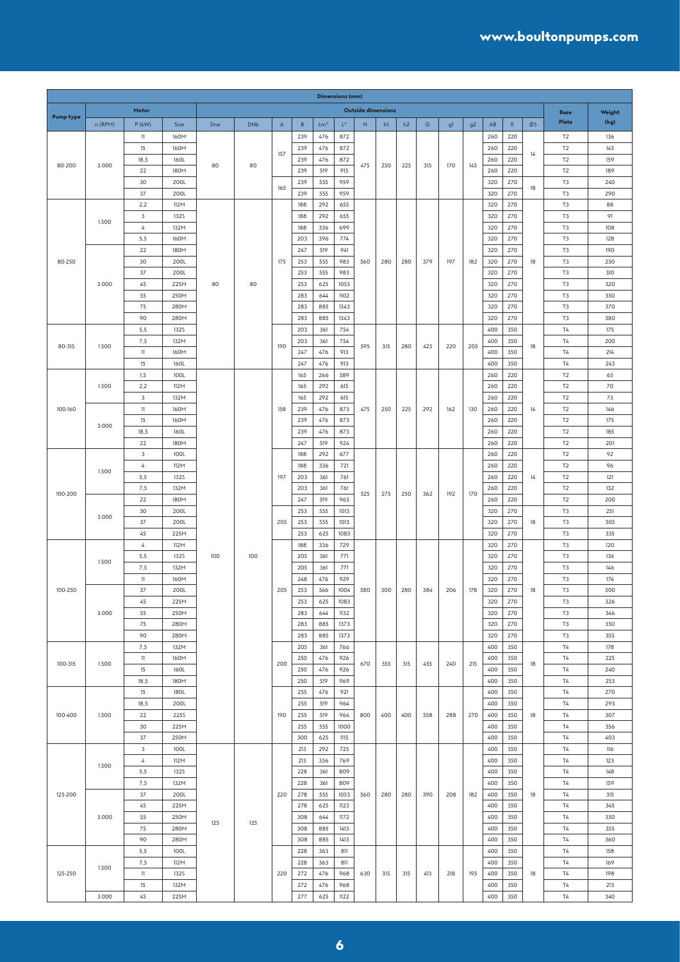|                  |         |                |                     |     |            |             |            |            | Dimensions (mm) |                           |     |     |     |     |                |            |             |    |                                  |            |
|------------------|---------|----------------|---------------------|-----|------------|-------------|------------|------------|-----------------|---------------------------|-----|-----|-----|-----|----------------|------------|-------------|----|----------------------------------|------------|
|                  |         | Motor          |                     |     |            |             |            |            |                 | <b>Outside dimensions</b> |     |     |     |     |                |            |             |    | <b>Base</b>                      | Weight     |
| <b>Pump type</b> | n (RPM) | $P$ (kW)       | Size                | Dne | <b>DNb</b> | $\mathsf A$ | B          | $Lm*$      | $L^*$           | H                         | h1  | h2  | G   | g1  | g <sub>2</sub> | AB         | $\mathsf K$ | ØS | Plate                            | (kg)       |
|                  |         | 11             | 160M                |     |            |             | 239        | 476        | 872             |                           |     |     |     |     |                | 260        | 220         |    | T <sub>2</sub>                   | 136        |
|                  |         | 15             | 160M                |     |            |             | 239        | 476        | 872             |                           |     |     |     |     |                | 260        | 220         |    | T <sub>2</sub>                   | 143        |
|                  |         | 18,5           | 160L                |     |            | 157         | 239        | 476        | 872             |                           |     |     |     |     |                | 260        | 220         | 14 | T <sub>2</sub>                   | 159        |
| 80-200           | 3.000   | 22             | 180M                | 80  | 80         |             | 239        | 519        | 915             | 475                       | 250 | 225 | 315 | 170 | 145            | 260        | 220         |    | T <sub>2</sub>                   | 189        |
|                  |         | 30             | 200L                |     |            |             | 239        | 555        | 959             |                           |     |     |     |     |                | 320        | 270         |    | T <sub>3</sub>                   | 240        |
|                  |         | 37             | 200L                |     |            | 165         | 239        | 555        | 959             |                           |     |     |     |     |                | 320        | 270         | 18 | T <sub>3</sub>                   | 290        |
|                  |         | 2,2            | 112M                |     |            |             | 188        | 292        | 655             |                           |     |     |     |     |                | 320        | 270         |    | T <sub>3</sub>                   | 88         |
|                  |         | 3              | <b>132S</b>         |     |            |             | 188        | 292        | 655             |                           |     |     |     |     |                | 320        | 270         |    | T <sub>3</sub>                   | 91         |
|                  | 1.500   | 4              | 132M                |     |            |             | 188        | 336        | 699             |                           |     |     |     |     |                | 320        | 270         |    | T <sub>3</sub>                   | 108        |
|                  |         | 5,5            | 160M                |     |            |             | 203        | 396        | 774             |                           |     |     |     |     |                | 320        | 270         |    | T <sub>3</sub>                   | 128        |
|                  |         | 22             | 180M                |     |            |             | 247        | 519        | 941             |                           |     |     |     |     |                | 320        | 270         |    | T <sub>3</sub>                   | 190        |
| 80-250           |         | 30             | 200L                |     |            | 175         | 253        | 555        | 983             | 560                       | 280 | 280 | 379 | 197 | 182            | 320        | 270         | 18 | T <sub>3</sub>                   | 250        |
|                  |         | 37             | 200L                |     |            |             | 253        | 555        | 983             |                           |     |     |     |     |                | 320        | 270         |    | T <sub>3</sub>                   | 310        |
|                  | 3.000   | 45             | 225M                | 80  | 80         |             | 253        | 625        | 1053            |                           |     |     |     |     |                | 320        | 270         |    | T <sub>3</sub>                   | 320        |
|                  |         | 55             | 250M                |     |            |             | 283        | 644        | 1102            |                           |     |     |     |     |                | 320        | 270         |    | T <sub>3</sub>                   | 350        |
|                  |         | 75             | 280M                |     |            |             | 283        | 885        | 1343            |                           |     |     |     |     |                | 320        | 270         |    | T <sub>3</sub>                   | 370        |
|                  |         | 90             | 280M                |     |            |             | 283        | 885        | 1343            |                           |     |     |     |     |                | 320        | 270         |    | T <sub>3</sub>                   | 380        |
|                  |         | 5,5            | <b>132S</b>         |     |            |             | 203        | 361        | 754             |                           |     |     |     |     |                | 400        | 350         |    | T4                               | 175        |
| 80-315           | 1.500   | 7,5            | 132M                |     |            | 190         | 203        | 361        | 754             | 595                       | 315 | 280 | 425 | 220 | 205            | 400        | 350         | 18 | T4                               | 200        |
|                  |         | 11             | 160M                |     |            |             | 247        | 476        | 913             |                           |     |     |     |     |                | 400        | 350         |    | <b>T4</b>                        | 214        |
|                  |         | 15             | 160L                |     |            |             | 247        | 476        | 913             |                           |     |     |     |     |                | 400        | 350         |    | T4                               | 243        |
|                  |         | 1,5            | 100L                |     |            |             | 165        | 266        | 589             |                           |     |     |     |     |                | 260        | 220         |    | T <sub>2</sub>                   | 65         |
|                  | 1.500   | 2,2            | 112M                |     |            |             | 165        | 292        | 615             |                           |     |     |     |     |                | 260        | 220         |    | T <sub>2</sub>                   | 70         |
|                  |         | 3              | 132M                |     |            |             | 165        | 292        | 615             |                           |     |     |     |     |                | 260        | 220         |    | T <sub>2</sub>                   | 73         |
| 100-160          |         | 11             | 160M                |     |            | 158         | 239        | 476        | 873             | 475                       | 250 | 225 | 292 | 162 | 130            | 260        | 220         | 14 | T <sub>2</sub>                   | 146        |
|                  | 3.000   | 15             | 160M                |     |            |             | 239        | 476        | 873             |                           |     |     |     |     |                | 260        | 220         |    | T2                               | 175        |
|                  |         | 18,5           | 160L                |     |            |             | 239        | 476        | 873             |                           |     |     |     |     |                | 260        | 220         |    | T <sub>2</sub>                   | 185        |
|                  |         | 22             | 180M                |     |            |             | 247        | 519        | 924             |                           |     |     |     |     |                | 260        | 220         |    | T <sub>2</sub>                   | 201        |
|                  |         | 3              | 100L                |     |            |             | 188        | 292        | 677             |                           |     |     |     |     |                | 260        | 220         |    | T <sub>2</sub>                   | 92         |
|                  | 1.500   | 4              | 112M                |     |            |             | 188        | 336        | 721             |                           |     |     |     |     |                | 260        | 220         |    | T <sub>2</sub>                   | 96         |
|                  |         | 5,5            | <b>132S</b><br>132M |     |            | 197         | 203        | 361        | 761<br>761      |                           |     |     |     |     |                | 260        | 220<br>220  | 14 | T <sub>2</sub>                   | 121        |
| 100-200          |         | 7,5<br>22      | 180M                |     |            |             | 203<br>247 | 361<br>519 | 963             | 525                       | 275 | 250 | 362 | 192 | 170            | 260<br>260 | 220         |    | T <sub>2</sub><br>T <sub>2</sub> | 132<br>200 |
|                  |         | 30             | 200L                |     |            |             | 253        | 555        | 1013            |                           |     |     |     |     |                | 320        | 270         |    | T <sub>3</sub>                   | 251        |
|                  | 3.000   | 37             | 200L                |     |            | 205         | 253        | 555        | 1013            |                           |     |     |     |     |                | 320        | 270         | 18 | T <sub>3</sub>                   | 305        |
|                  |         | 45             | 225M                |     |            |             | 253        | 625        | 1083            |                           |     |     |     |     |                | 320        | 270         |    | T <sub>3</sub>                   | 335        |
|                  |         | 4              | 112M                |     | 100        |             | 188        | 336        | 729             |                           |     |     |     |     |                | 320        | 270         |    | T <sub>3</sub>                   | 120        |
|                  |         | 5,5            | <b>132S</b>         | 100 |            |             | 205        | 361        | 771             |                           |     |     |     |     |                | 320        | 270         |    | T <sub>3</sub>                   | 136        |
|                  | 1.500   | 7,5            | 132M                |     |            |             | 205        | 361        | 771             |                           |     |     |     |     |                | 320        | 270         |    | T <sub>3</sub>                   | 146        |
|                  |         | 11             | 160M                |     |            |             | 248        | 476        | 929             |                           |     |     |     |     |                | 320        | 270         |    | T <sub>3</sub>                   | 174        |
| 100-250          |         | 37             | 200L                |     |            | 205         | 253        | 546        | 1004            | 580                       | 300 | 280 | 384 | 206 | 178            | 320        | 270         | 18 | T <sub>3</sub>                   | 300        |
|                  | 3.000   | $45\,$         | 225M                |     |            |             | 253        | 625        | 1083            |                           |     |     |     |     |                | 320        | 270         |    | T <sub>3</sub>                   | 326        |
|                  |         | 55             | 250M                |     |            |             | 283        | 644        | 1132            |                           |     |     |     |     |                | 320        | 270         |    | T <sub>3</sub>                   | 346        |
|                  |         | 75             | 280M                |     |            |             | 283        | 885        | 1373            |                           |     |     |     |     |                | 320        | 270         |    | T <sub>3</sub>                   | 350        |
|                  |         | 90             | 280M                |     |            |             | 283        | 885        | 1373            |                           |     |     |     |     |                | 320        | 270         |    | T <sub>3</sub>                   | 355        |
|                  |         | 7,5            | 132M                |     |            |             | 205        | 361        | 766             |                           |     |     |     |     |                | 400        | 350         |    | T4                               | 178        |
| 100-315          | 1.500   | 11             | 160M                |     |            | 200         | 250        | 476        | 926             | 670                       |     |     |     | 240 | 215            | 400        | 350         |    | $\mathsf{T}4$                    | 225        |
|                  |         | $15\,$         | 160L                |     |            |             | 250        | 476        | 926             |                           | 355 | 315 | 455 |     |                | 400        | 350         | 18 | T4                               | 240        |
|                  |         | 18,5           | 180M                |     |            |             | 250        | 519        | 969             |                           |     |     |     |     |                | 400        | 350         |    | T4                               | 253        |
|                  |         | 15             | 180L                |     |            |             | 255        | 476        | 921             |                           |     |     |     |     |                | 400        | 350         |    | T4                               | 270        |
|                  |         | 18,5           | 200L                |     |            |             | 255        | 519        | 964             |                           |     |     |     |     |                | 400        | 350         |    | T4                               | 293        |
| 100-400          | 1.500   | 22             | <b>225S</b>         |     |            | 190         | 255        | 519        | 964             | 800                       | 400 | 400 | 558 | 288 | 270            | 400        | 350         | 18 | T4                               | 307        |
|                  |         | 30             | 225M                |     |            |             | 255        | 555        | 1000            |                           |     |     |     |     |                | 400        | 350         |    | T4                               | 356        |
|                  |         | 37             | 250M                |     |            |             | 300        | 625        | 1115            |                           |     |     |     |     |                | 400        | 350         |    | T4                               | 403        |
|                  |         | $\mathbf{3}$   | 100L                |     |            |             | 213        | 292        | 725             |                           |     |     |     |     |                | 400        | 350         |    | T4                               | 116        |
|                  | 1.500   | $\overline{4}$ | 112M                |     |            |             | 213        | 336        | 769             |                           |     |     |     |     |                | 400        | 350         |    | T4                               | 123        |
|                  |         | 5,5            | <b>132S</b>         |     |            |             | 228        | 361        | 809             |                           |     |     |     |     |                | 400        | 350         |    | T4                               | 148        |
|                  |         | 7,5            | 132M                |     |            |             | 228        | 361        | 809             |                           |     |     |     |     |                | 400        | 350         |    | T4                               | 159        |
| 125-200          |         | 37             | 200L                |     |            | 220         | 278        | 555        | 1053            | 560                       | 280 | 280 | 390 | 208 | 182            | 400        | 350         | 18 | <b>T4</b>                        | 315        |
|                  |         | 45             | 225M                |     |            |             | 278        | 625        | 1123            |                           |     |     |     |     |                | 400        | 350         |    | T4                               | 345        |
|                  | 3.000   | 55             | 250M                | 125 | 125        |             | 308        | 644        | 1172            |                           |     |     |     |     |                | 400        | 350         |    | $\mathsf{T}4$                    | 350        |
|                  |         | 75             | 280M                |     |            |             | 308        | 885        | 1413            |                           |     |     |     |     |                | 400        | 350         |    | T4                               | 355        |
|                  |         | 90             | 280M<br>100L        |     |            |             | 308        | 885<br>363 | 1413            |                           |     |     |     |     |                | 400        | 350         |    | T4<br>T4                         | 360        |
|                  |         | 5,5<br>7,5     | 112M                |     |            |             | 228<br>228 |            | 811<br>811      |                           |     |     | 413 | 218 |                | 400<br>400 | 350<br>350  |    | T4                               | 158<br>169 |
| 125-250          | 1.500   | 11             | <b>132S</b>         |     |            | 220         | 272        | 363<br>476 | 968             | 630                       | 315 |     |     |     | 195            | 400        | 350         | 18 | T4                               | 198        |
|                  |         | 15             | 132M                |     |            |             | 272        | 476        | 968             |                           |     | 315 |     |     |                | 400        | 350         |    | T4                               | 213        |
|                  | 3.000   | 45             | 225M                |     |            |             | 277        | 625        | 1122            |                           |     |     |     |     |                | 400        | 350         |    | $\mathsf{T}4$                    | 340        |
|                  |         |                |                     |     |            |             |            |            |                 |                           |     |     |     |     |                |            |             |    |                                  |            |